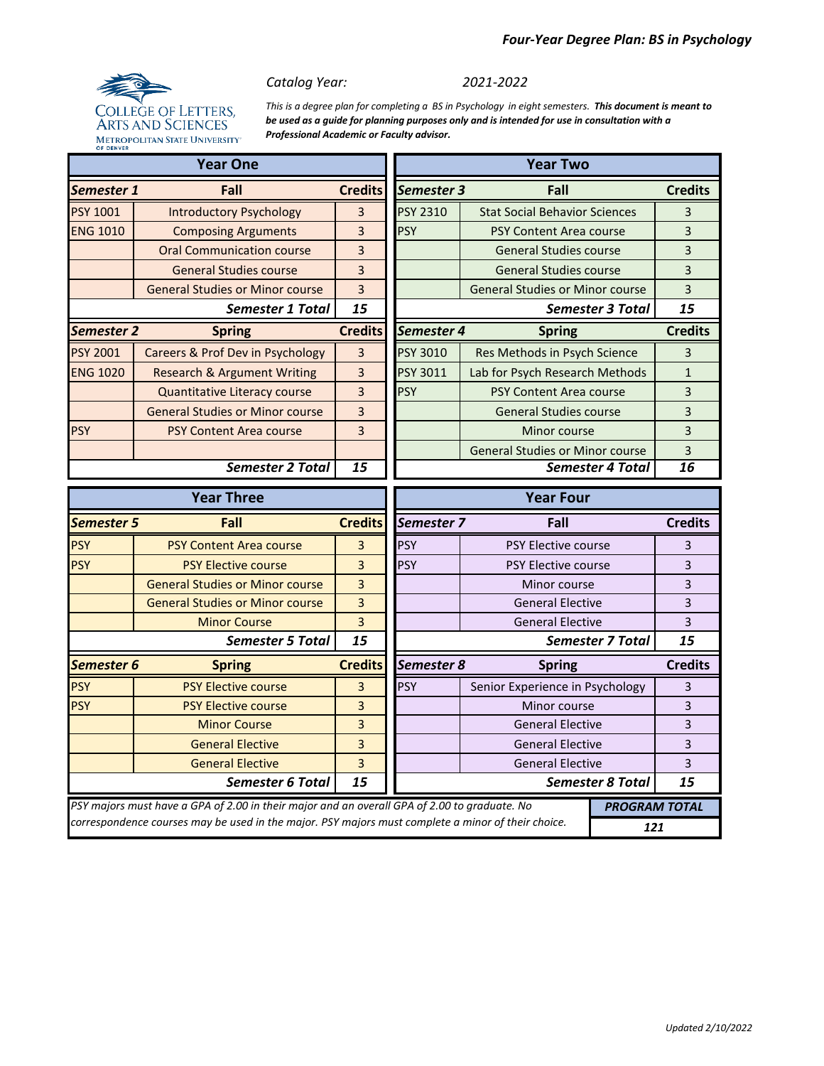

*Catalog Year:* 

*2021-2022*

*This is a degree plan for completing a BS in Psychology in eight semesters. This document is meant to be used as a guide for planning purposes only and is intended for use in consultation with a Professional Academic or Faculty advisor.*

|                                                                                                           | <b>Year One</b>                                                                              |                         |                         |                                        |                         |                |
|-----------------------------------------------------------------------------------------------------------|----------------------------------------------------------------------------------------------|-------------------------|-------------------------|----------------------------------------|-------------------------|----------------|
| <b>Semester 1</b>                                                                                         | Fall                                                                                         | <b>Credits</b>          | Semester 3              | Fall                                   |                         | <b>Credits</b> |
| <b>PSY 1001</b>                                                                                           | <b>Introductory Psychology</b>                                                               | 3                       | <b>PSY 2310</b>         | <b>Stat Social Behavior Sciences</b>   |                         | 3              |
| <b>ENG 1010</b>                                                                                           | <b>Composing Arguments</b>                                                                   | 3                       | <b>PSY</b>              | <b>PSY Content Area course</b>         |                         | $\overline{3}$ |
|                                                                                                           | <b>Oral Communication course</b>                                                             | $\overline{3}$          |                         | <b>General Studies course</b>          |                         | 3              |
|                                                                                                           | <b>General Studies course</b>                                                                | 3                       |                         | <b>General Studies course</b>          |                         | $\overline{3}$ |
|                                                                                                           | <b>General Studies or Minor course</b>                                                       | $\overline{3}$          |                         | <b>General Studies or Minor course</b> |                         | $\overline{3}$ |
|                                                                                                           | <b>Semester 1 Total</b>                                                                      | 15                      | <b>Semester 3 Total</b> |                                        | 15                      |                |
| <b>Semester 2</b>                                                                                         | <b>Spring</b>                                                                                | <b>Credits</b>          | Semester 4              | <b>Spring</b>                          |                         | <b>Credits</b> |
| <b>PSY 2001</b>                                                                                           | Careers & Prof Dev in Psychology                                                             | 3                       | <b>PSY 3010</b>         | Res Methods in Psych Science           |                         | 3              |
| <b>ENG 1020</b>                                                                                           | <b>Research &amp; Argument Writing</b>                                                       | 3                       | <b>PSY 3011</b>         | Lab for Psych Research Methods         |                         | $\mathbf{1}$   |
|                                                                                                           | Quantitative Literacy course                                                                 | $\overline{3}$          | <b>PSY</b>              | <b>PSY Content Area course</b>         |                         | $\overline{3}$ |
|                                                                                                           | <b>General Studies or Minor course</b>                                                       | 3                       |                         | <b>General Studies course</b>          |                         | $\overline{3}$ |
| <b>PSY</b>                                                                                                | <b>PSY Content Area course</b>                                                               | $\overline{3}$          |                         | Minor course                           |                         | 3              |
|                                                                                                           |                                                                                              |                         |                         | <b>General Studies or Minor course</b> |                         | 3              |
|                                                                                                           | <b>Semester 2 Total</b>                                                                      | 15                      |                         |                                        | <b>Semester 4 Total</b> | 16             |
|                                                                                                           | <b>Year Three</b>                                                                            |                         |                         | <b>Year Four</b>                       |                         |                |
| <b>Semester 5</b>                                                                                         | Fall                                                                                         | <b>Credits</b>          | Semester 7              | Fall                                   |                         | <b>Credits</b> |
| <b>PSY</b>                                                                                                | <b>PSY Content Area course</b>                                                               | 3                       | <b>PSY</b>              | PSY Elective course                    |                         | 3              |
| <b>PSY</b>                                                                                                | <b>PSY Elective course</b>                                                                   | 3                       | <b>PSY</b>              | <b>PSY Elective course</b>             |                         | 3              |
|                                                                                                           | <b>General Studies or Minor course</b>                                                       | 3                       |                         | Minor course                           |                         | $\overline{3}$ |
|                                                                                                           | <b>General Studies or Minor course</b>                                                       | $\overline{\mathbf{3}}$ |                         | <b>General Elective</b>                |                         | 3              |
|                                                                                                           | <b>Minor Course</b>                                                                          | 3                       |                         | <b>General Elective</b>                |                         | 3              |
|                                                                                                           | <b>Semester 5 Total</b>                                                                      | 15                      |                         |                                        | <b>Semester 7 Total</b> | 15             |
| <b>Semester 6</b>                                                                                         | <b>Spring</b>                                                                                | <b>Credits</b>          | Semester 8              | <b>Spring</b>                          |                         | <b>Credits</b> |
| <b>PSY</b>                                                                                                | <b>PSY Elective course</b>                                                                   | 3                       | <b>PSY</b>              | Senior Experience in Psychology        |                         | 3              |
| <b>PSY</b>                                                                                                | <b>PSY Elective course</b>                                                                   | 3                       |                         | Minor course                           |                         | 3              |
|                                                                                                           | <b>Minor Course</b>                                                                          | 3                       |                         | <b>General Elective</b>                |                         | 3              |
|                                                                                                           | <b>General Elective</b>                                                                      | $\overline{\mathbf{3}}$ |                         | <b>General Elective</b>                |                         | $\overline{3}$ |
|                                                                                                           | <b>General Elective</b>                                                                      | 3                       |                         | <b>General Elective</b>                |                         | 3              |
|                                                                                                           | <b>Semester 6 Total</b>                                                                      | 15                      |                         |                                        | <b>Semester 8 Total</b> | 15             |
|                                                                                                           | PSY majors must have a GPA of 2.00 in their major and an overall GPA of 2.00 to graduate. No |                         |                         |                                        | <b>PROGRAM TOTAL</b>    |                |
| correspondence courses may be used in the major. PSY majors must complete a minor of their choice.<br>121 |                                                                                              |                         |                         |                                        |                         |                |